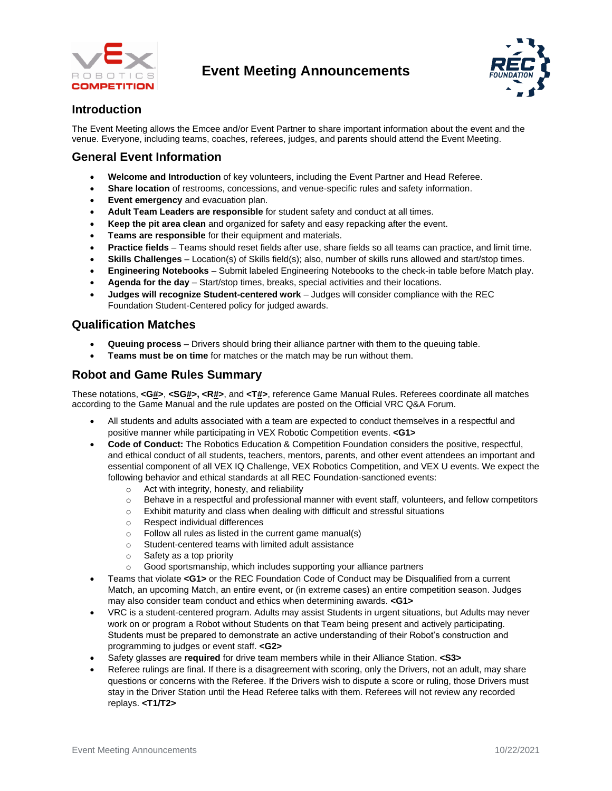

# **Event Meeting Announcements**



## **Introduction**

The Event Meeting allows the Emcee and/or Event Partner to share important information about the event and the venue. Everyone, including teams, coaches, referees, judges, and parents should attend the Event Meeting.

## **General Event Information**

- **Welcome and Introduction** of key volunteers, including the Event Partner and Head Referee.
- **Share location** of restrooms, concessions, and venue-specific rules and safety information.
- **Event emergency** and evacuation plan.
- **Adult Team Leaders are responsible** for student safety and conduct at all times.
- **Keep the pit area clean** and organized for safety and easy repacking after the event.
- **Teams are responsible** for their equipment and materials.
- **Practice fields**  Teams should reset fields after use, share fields so all teams can practice, and limit time.
- **Skills Challenges** Location(s) of Skills field(s); also, number of skills runs allowed and start/stop times.
- **Engineering Notebooks** Submit labeled Engineering Notebooks to the check-in table before Match play.
- **Agenda for the day** Start/stop times, breaks, special activities and their locations.
- **Judges will recognize Student-centered work** Judges will consider compliance with the REC Foundation Student-Centered policy for judged awards.

### **Qualification Matches**

- **Queuing process** Drivers should bring their alliance partner with them to the queuing table.
- **Teams must be on time** for matches or the match may be run without them.

#### **Robot and Game Rules Summary**

These notations, **<G#>**, **<SG#>, <R#>**, and **<T#>**, reference Game Manual Rules. Referees coordinate all matches according to the Game Manual and the rule updates are posted on the Official VRC Q&A Forum.

- All students and adults associated with a team are expected to conduct themselves in a respectful and positive manner while participating in VEX Robotic Competition events. **<G1>**
- **Code of Conduct:** The Robotics Education & Competition Foundation considers the positive, respectful, and ethical conduct of all students, teachers, mentors, parents, and other event attendees an important and essential component of all VEX IQ Challenge, VEX Robotics Competition, and VEX U events. We expect the following behavior and ethical standards at all REC Foundation-sanctioned events:
	- o Act with integrity, honesty, and reliability
	- $\circ$  Behave in a respectful and professional manner with event staff, volunteers, and fellow competitors
	- o Exhibit maturity and class when dealing with difficult and stressful situations
	- o Respect individual differences
	- $\circ$  Follow all rules as listed in the current game manual(s)
	- o Student-centered teams with limited adult assistance
	- o Safety as a top priority
	- o Good sportsmanship, which includes supporting your alliance partners
- Teams that violate **<G1>** or the REC Foundation Code of Conduct may be Disqualified from a current Match, an upcoming Match, an entire event, or (in extreme cases) an entire competition season. Judges may also consider team conduct and ethics when determining awards. **<G1>**
- VRC is a student-centered program. Adults may assist Students in urgent situations, but Adults may never work on or program a Robot without Students on that Team being present and actively participating. Students must be prepared to demonstrate an active understanding of their Robot's construction and programming to judges or event staff. **<G2>**
- Safety glasses are **required** for drive team members while in their Alliance Station. **<S3>**
- Referee rulings are final. If there is a disagreement with scoring, only the Drivers, not an adult, may share questions or concerns with the Referee. If the Drivers wish to dispute a score or ruling, those Drivers must stay in the Driver Station until the Head Referee talks with them. Referees will not review any recorded replays. **<T1/T2>**